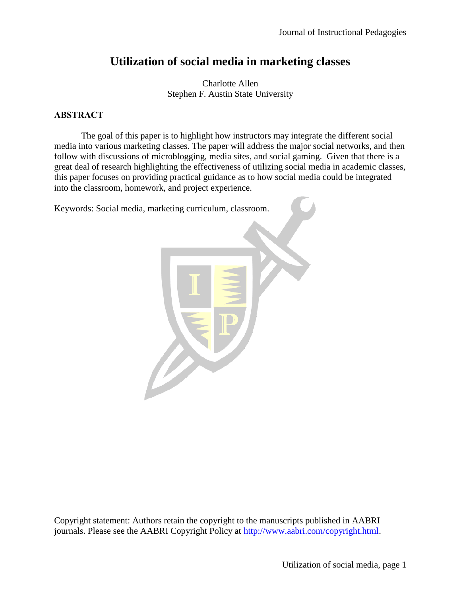# **Utilization of social media in marketing classes**

Charlotte Allen Stephen F. Austin State University

# **ABSTRACT**

The goal of this paper is to highlight how instructors may integrate the different social media into various marketing classes. The paper will address the major social networks, and then follow with discussions of microblogging, media sites, and social gaming. Given that there is a great deal of research highlighting the effectiveness of utilizing social media in academic classes, this paper focuses on providing practical guidance as to how social media could be integrated into the classroom, homework, and project experience.

Keywords: Social media, marketing curriculum, classroom.



Copyright statement: Authors retain the copyright to the manuscripts published in AABRI journals. Please see the AABRI Copyright Policy at [http://www.aabri.com/copyright.html.](http://www.aabri.com/copyright.html)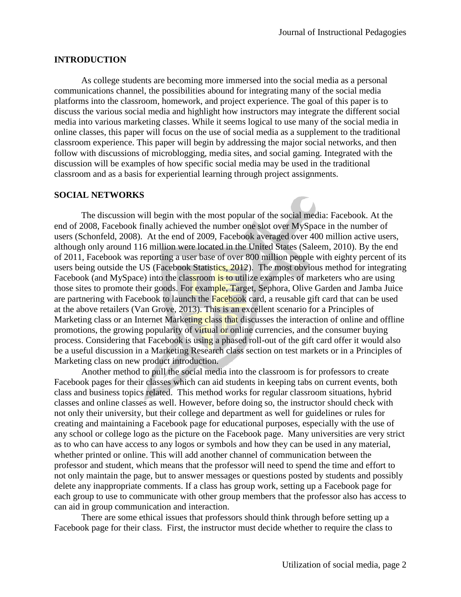#### **INTRODUCTION**

As college students are becoming more immersed into the social media as a personal communications channel, the possibilities abound for integrating many of the social media platforms into the classroom, homework, and project experience. The goal of this paper is to discuss the various social media and highlight how instructors may integrate the different social media into various marketing classes. While it seems logical to use many of the social media in online classes, this paper will focus on the use of social media as a supplement to the traditional classroom experience. This paper will begin by addressing the major social networks, and then follow with discussions of microblogging, media sites, and social gaming. Integrated with the discussion will be examples of how specific social media may be used in the traditional classroom and as a basis for experiential learning through project assignments.

#### **SOCIAL NETWORKS**

The discussion will begin with the most popular of the social media: Facebook. At the end of 2008, Facebook finally achieved the number one slot over MySpace in the number of users (Schonfeld, 2008). At the end of 2009, Facebook averaged over 400 million active users, although only around 116 million were located in the United States (Saleem, 2010). By the end of 2011, Facebook was reporting a user base of over 800 million people with eighty percent of its users being outside the US (Facebook Statistics, 2012). The most obvious method for integrating Facebook (and MySpace) into the classroom is to utilize examples of marketers who are using those sites to promote their goods. For example, Target, Sephora, Olive Garden and Jamba Juice are partnering with Facebook to launch the Facebook card, a reusable gift card that can be used at the above retailers (Van Grove, 2013). This is an excellent scenario for a Principles of Marketing class or an Internet Marketing class that discusses the interaction of online and offline promotions, the growing popularity of virtual or online currencies, and the consumer buying process. Considering that Facebook is using a phased roll-out of the gift card offer it would also be a useful discussion in a Marketing Research class section on test markets or in a Principles of Marketing class on new product introduction.

Another method to pull the social media into the classroom is for professors to create Facebook pages for their classes which can aid students in keeping tabs on current events, both class and business topics related. This method works for regular classroom situations, hybrid classes and online classes as well. However, before doing so, the instructor should check with not only their university, but their college and department as well for guidelines or rules for creating and maintaining a Facebook page for educational purposes, especially with the use of any school or college logo as the picture on the Facebook page. Many universities are very strict as to who can have access to any logos or symbols and how they can be used in any material, whether printed or online. This will add another channel of communication between the professor and student, which means that the professor will need to spend the time and effort to not only maintain the page, but to answer messages or questions posted by students and possibly delete any inappropriate comments. If a class has group work, setting up a Facebook page for each group to use to communicate with other group members that the professor also has access to can aid in group communication and interaction.

There are some ethical issues that professors should think through before setting up a Facebook page for their class. First, the instructor must decide whether to require the class to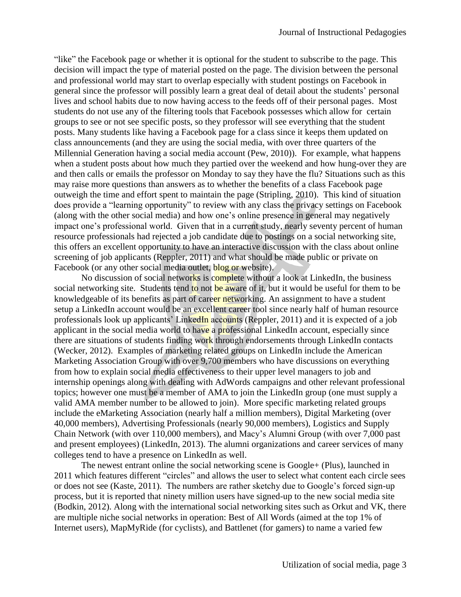"like" the Facebook page or whether it is optional for the student to subscribe to the page. This decision will impact the type of material posted on the page. The division between the personal and professional world may start to overlap especially with student postings on Facebook in general since the professor will possibly learn a great deal of detail about the students' personal lives and school habits due to now having access to the feeds off of their personal pages. Most students do not use any of the filtering tools that Facebook possesses which allow for certain groups to see or not see specific posts, so they professor will see everything that the student posts. Many students like having a Facebook page for a class since it keeps them updated on class announcements (and they are using the social media, with over three quarters of the Millennial Generation having a social media account (Pew, 2010)). For example, what happens when a student posts about how much they partied over the weekend and how hung-over they are and then calls or emails the professor on Monday to say they have the flu? Situations such as this may raise more questions than answers as to whether the benefits of a class Facebook page outweigh the time and effort spent to maintain the page (Stripling, 2010). This kind of situation does provide a "learning opportunity" to review with any class the privacy settings on Facebook (along with the other social media) and how one's online presence in general may negatively impact one's professional world. Given that in a current study, nearly seventy percent of human resource professionals had rejected a job candidate due to postings on a social networking site, this offers an excellent opportunity to have an interactive discussion with the class about online screening of job applicants (Reppler, 2011) and what should be made public or private on Facebook (or any other social media outlet, blog or website).

No discussion of social networks is complete without a look at LinkedIn, the business social networking site. Students tend to not be aware of it, but it would be useful for them to be knowledgeable of its benefits as part of career networking. An assignment to have a student setup a LinkedIn account would be an excellent career tool since nearly half of human resource professionals look up applicants' LinkedIn accounts (Reppler, 2011) and it is expected of a job applicant in the social media world to have a professional LinkedIn account, especially since there are situations of students finding work through endorsements through LinkedIn contacts (Wecker, 2012). Examples of marketing related groups on LinkedIn include the American Marketing Association Group with over 9,700 members who have discussions on everything from how to explain social media effectiveness to their upper level managers to job and internship openings along with dealing with AdWords campaigns and other relevant professional topics; however one must be a member of AMA to join the LinkedIn group (one must supply a valid AMA member number to be allowed to join). More specific marketing related groups include the eMarketing Association (nearly half a million members), Digital Marketing (over 40,000 members), Advertising Professionals (nearly 90,000 members), Logistics and Supply Chain Network (with over 110,000 members), and Macy's Alumni Group (with over 7,000 past and present employees) (LinkedIn, 2013). The alumni organizations and career services of many colleges tend to have a presence on LinkedIn as well.

The newest entrant online the social networking scene is Google+ (Plus), launched in 2011 which features different "circles" and allows the user to select what content each circle sees or does not see (Kaste, 2011). The numbers are rather sketchy due to Google's forced sign-up process, but it is reported that ninety million users have signed-up to the new social media site (Bodkin, 2012). Along with the international social networking sites such as Orkut and VK, there are multiple niche social networks in operation: Best of All Words (aimed at the top 1% of Internet users), MapMyRide (for cyclists), and Battlenet (for gamers) to name a varied few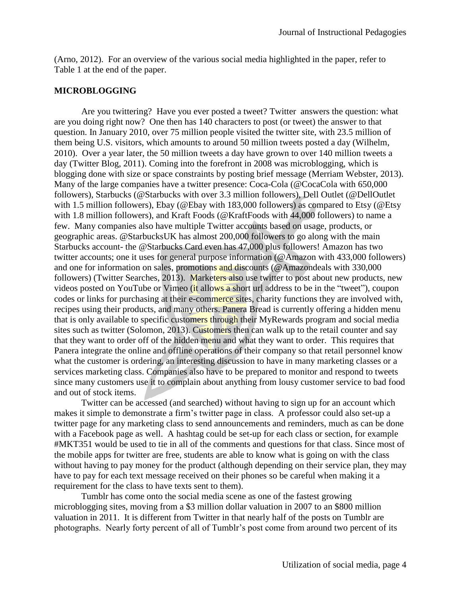(Arno, 2012). For an overview of the various social media highlighted in the paper, refer to Table 1 at the end of the paper.

#### **MICROBLOGGING**

Are you twittering? Have you ever posted a tweet? Twitter answers the question: what are you doing right now? One then has 140 characters to post (or tweet) the answer to that question. In January 2010, over 75 million people visited the twitter site, with 23.5 million of them being U.S. visitors, which amounts to around 50 million tweets posted a day (Wilhelm, 2010). Over a year later, the 50 million tweets a day have grown to over 140 million tweets a day (Twitter Blog, 2011). Coming into the forefront in 2008 was microblogging, which is blogging done with size or space constraints by posting brief message (Merriam Webster, 2013). Many of the large companies have a twitter presence: Coca-Cola (@CocaCola with 650,000 followers), Starbucks (@Starbucks with over 3.3 million followers), Dell Outlet (@DellOutlet with 1.5 million followers), Ebay (@Ebay with 183,000 followers) as compared to Etsy (@Etsy with 1.8 million followers), and Kraft Foods (@KraftFoods with 44,000 followers) to name a few. Many companies also have multiple Twitter accounts based on usage, products, or geographic areas. @StarbucksUK has almost 200,000 followers to go along with the main Starbucks account- the @Starbucks Card even has 47,000 plus followers! Amazon has two twitter accounts; one it uses for general purpose information (@Amazon with 433,000 followers) and one for information on sales, promotions and discounts (@Amazondeals with 330,000 followers) (Twitter Searches, 2013). Marketers also use twitter to post about new products, new videos posted on YouTube or Vimeo (it allows a short url address to be in the "tweet"), coupon codes or links for purchasing at their e-commerce sites, charity functions they are involved with, recipes using their products, and many others. Panera Bread is currently offering a hidden menu that is only available to specific customers through their MyRewards program and social media sites such as twitter (Solomon, 2013). Customers then can walk up to the retail counter and say that they want to order off of the hidden menu and what they want to order. This requires that Panera integrate the online and offline operations of their company so that retail personnel know what the customer is ordering, an interesting discussion to have in many marketing classes or a services marketing class. Companies also have to be prepared to monitor and respond to tweets since many customers use it to complain about anything from lousy customer service to bad food and out of stock items.

Twitter can be accessed (and searched) without having to sign up for an account which makes it simple to demonstrate a firm's twitter page in class. A professor could also set-up a twitter page for any marketing class to send announcements and reminders, much as can be done with a Facebook page as well. A hashtag could be set-up for each class or section, for example #MKT351 would be used to tie in all of the comments and questions for that class. Since most of the mobile apps for twitter are free, students are able to know what is going on with the class without having to pay money for the product (although depending on their service plan, they may have to pay for each text message received on their phones so be careful when making it a requirement for the class to have texts sent to them).

Tumblr has come onto the social media scene as one of the fastest growing microblogging sites, moving from a \$3 million dollar valuation in 2007 to an \$800 million valuation in 2011. It is different from Twitter in that nearly half of the posts on Tumblr are photographs. Nearly forty percent of all of Tumblr's post come from around two percent of its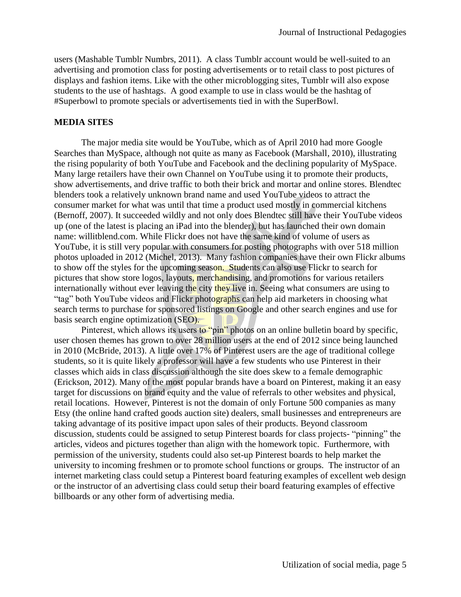users (Mashable Tumblr Numbrs, 2011). A class Tumblr account would be well-suited to an advertising and promotion class for posting advertisements or to retail class to post pictures of displays and fashion items. Like with the other microblogging sites, Tumblr will also expose students to the use of hashtags. A good example to use in class would be the hashtag of #Superbowl to promote specials or advertisements tied in with the SuperBowl.

#### **MEDIA SITES**

The major media site would be YouTube, which as of April 2010 had more Google Searches than MySpace, although not quite as many as Facebook (Marshall, 2010), illustrating the rising popularity of both YouTube and Facebook and the declining popularity of MySpace. Many large retailers have their own Channel on YouTube using it to promote their products, show advertisements, and drive traffic to both their brick and mortar and online stores. Blendtec blenders took a relatively unknown brand name and used YouTube videos to attract the consumer market for what was until that time a product used mostly in commercial kitchens (Bernoff, 2007). It succeeded wildly and not only does Blendtec still have their YouTube videos up (one of the latest is placing an iPad into the blender), but has launched their own domain name: willitblend.com. While Flickr does not have the same kind of volume of users as YouTube, it is still very popular with consumers for posting photographs with over 518 million photos uploaded in 2012 (Michel, 2013). Many fashion companies have their own Flickr albums to show off the styles for the upcoming season. Students can also use Flickr to search for pictures that show store logos, layouts, merchandising, and promotions for various retailers internationally without ever leaving the city they live in. Seeing what consumers are using to "tag" both YouTube videos and Flickr photographs can help aid marketers in choosing what search terms to purchase for sponsored listings on Google and other search engines and use for basis search engine optimization (SEO).

Pinterest, which allows its users to "pin" photos on an online bulletin board by specific, user chosen themes has grown to over 28 million users at the end of 2012 since being launched in 2010 (McBride, 2013). A little over 17% of Pinterest users are the age of traditional college students, so it is quite likely a professor will have a few students who use Pinterest in their classes which aids in class discussion although the site does skew to a female demographic (Erickson, 2012). Many of the most popular brands have a board on Pinterest, making it an easy target for discussions on brand equity and the value of referrals to other websites and physical, retail locations. However, Pinterest is not the domain of only Fortune 500 companies as many Etsy (the online hand crafted goods auction site) dealers, small businesses and entrepreneurs are taking advantage of its positive impact upon sales of their products. Beyond classroom discussion, students could be assigned to setup Pinterest boards for class projects- "pinning" the articles, videos and pictures together than align with the homework topic. Furthermore, with permission of the university, students could also set-up Pinterest boards to help market the university to incoming freshmen or to promote school functions or groups. The instructor of an internet marketing class could setup a Pinterest board featuring examples of excellent web design or the instructor of an advertising class could setup their board featuring examples of effective billboards or any other form of advertising media.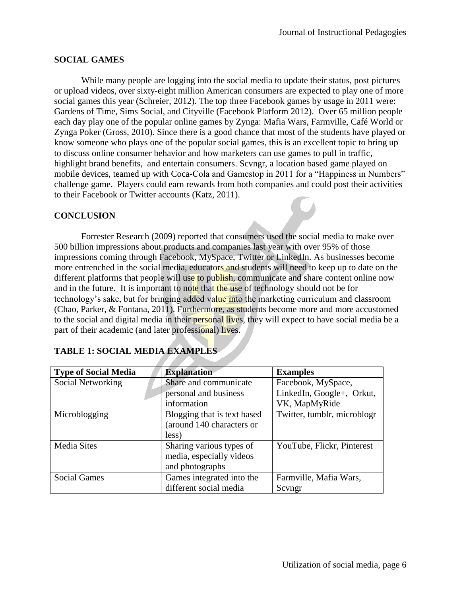## **SOCIAL GAMES**

While many people are logging into the social media to update their status, post pictures or upload videos, over sixty-eight million American consumers are expected to play one of more social games this year (Schreier, 2012). The top three Facebook games by usage in 2011 were: Gardens of Time, Sims Social, and Cityville (Facebook Platform 2012). Over 65 million people each day play one of the popular online games by Zynga: Mafia Wars, Farmville, Café World or Zynga Poker (Gross, 2010). Since there is a good chance that most of the students have played or know someone who plays one of the popular social games, this is an excellent topic to bring up to discuss online consumer behavior and how marketers can use games to pull in traffic, highlight brand benefits, and entertain consumers. Scvngr, a location based game played on mobile devices, teamed up with Coca-Cola and Gamestop in 2011 for a "Happiness in Numbers" challenge game. Players could earn rewards from both companies and could post their activities to their Facebook or Twitter accounts (Katz, 2011).

## **CONCLUSION**

Forrester Research (2009) reported that consumers used the social media to make over 500 billion impressions about products and companies last year with over 95% of those impressions coming through Facebook, MySpace, Twitter or LinkedIn. As businesses become more entrenched in the social media, educators and students will need to keep up to date on the different platforms that people will use to publish, communicate and share content online now and in the future. It is important to note that the use of technology should not be for technology's sake, but for bringing added value into the marketing curriculum and classroom (Chao, Parker, & Fontana, 2011). Furthermore, as students become more and more accustomed to the social and digital media in their personal lives, they will expect to have social media be a part of their academic (and later professional) lives.

| <b>Type of Social Media</b> | <b>Explanation</b>          | <b>Examples</b>             |
|-----------------------------|-----------------------------|-----------------------------|
| Social Networking           | Share and communicate       | Facebook, MySpace,          |
|                             | personal and business       | LinkedIn, Google+, Orkut,   |
|                             | information                 | VK, MapMyRide               |
| Microblogging               | Blogging that is text based | Twitter, tumblr, microblogr |
|                             | (around 140 characters or   |                             |
|                             | less)                       |                             |
| <b>Media Sites</b>          | Sharing various types of    | YouTube, Flickr, Pinterest  |
|                             | media, especially videos    |                             |
|                             | and photographs             |                             |
| <b>Social Games</b>         | Games integrated into the   | Farmville, Mafia Wars,      |
|                             | different social media      | Scyngr                      |

## **TABLE 1: SOCIAL MEDIA EXAMPLES**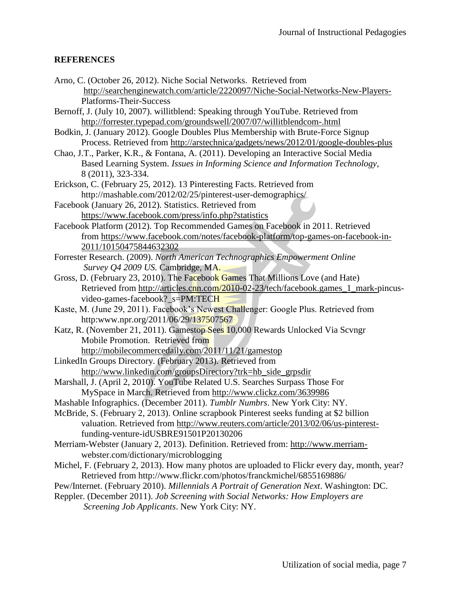# **REFERENCES**

- Arno, C. (October 26, 2012). Niche Social Networks. Retrieved from <http://searchenginewatch.com/article/2220097/Niche-Social-Networks-New-Players->Platforms-Their-Success
- Bernoff, J. (July 10, 2007). willitblend: Speaking through YouTube. Retrieved from <http://forrester.typepad.com/groundswell/2007/07/willitblendcom-.html>
- Bodkin, J. (January 2012). Google Doubles Plus Membership with Brute-Force Signup Process. Retrieved from<http://arstechnica/gadgets/news/2012/01/google-doubles-plus>
- Chao, J.T., Parker, K.R., & Fontana, A. (2011). Developing an Interactive Social Media Based Learning System. *Issues in Informing Science and Information Technology*, 8 (2011), 323-334.
- Erickson, C. (February 25, 2012). 13 Pinteresting Facts. Retrieved from http://mashable.com/2012/02/25/pinterest-user-demographics/
- Facebook (January 26, 2012). Statistics. Retrieved from <https://www.facebook.com/press/info.php?statistics>
- Facebook Platform (2012). Top Recommended Games on Facebook in 2011. Retrieved from [https://www.facebook.com/notes/facebook-platform/top-games-on-facebook-in-](https://www.facebook.com/notes/facebook-platform/top-games-on-facebook-in-2011/10150475844632302)[2011/10150475844632302](https://www.facebook.com/notes/facebook-platform/top-games-on-facebook-in-2011/10150475844632302)
- Forrester Research. (2009). *North American Technographics Empowerment Online Survey Q4 2009 US.* Cambridge, MA.
- Gross, D. (February 23, 2010). The Facebook Games That Millions Love (and Hate) Retrieved from [http://articles.cnn.com/2010-02-23/tech/facebook.games\\_1\\_mark-p](http://articles.cnn.com/2010-02-23/tech/facebook.games_1_mark-)incusvideo-games-facebook?\_s=PM:TECH
- Kaste, M. (June 29, 2011). Facebook's Newest Challenger: Google Plus. Retrieved from http:www.npr.org/2011/06/29/137507567
- Katz, R. (November 21, 2011). Gamestop Sees 10,000 Rewards Unlocked Via Scvngr Mobile Promotion. Retrieved from <http://mobilecommercedaily.com/2011/11/21/gamestop>
- LinkedIn Groups Directory. (February 2013). Retrieved from [http://www.linkedin.com/groupsDirectory?trk=hb\\_side\\_grpsdir](http://www.linkedin.com/groupsDirectory?trk=hb_side_grpsdir)
- Marshall, J. (April 2, 2010). YouTube Related U.S. Searches Surpass Those For MySpace in March. Retrieved from<http://www.clickz.com/3639986>
- Mashable Infographics. (December 2011). *Tumblr Numbrs*. New York City: NY.
- McBride, S. (February 2, 2013). Online scrapbook Pinterest seeks funding at \$2 billion valuation. Retrieved from [http://www.reuters.com/article/2013/02/06/us-pinterest](http://www.reuters.com/article/2013/02/06/us-pinterest-)funding-venture-idUSBRE91501P20130206
- Merriam-Webster (January 2, 2013). Definition. Retrieved from: [http://www.merriam](http://www.merriam-/)webster.com/dictionary/microblogging
- Michel, F. (February 2, 2013). How many photos are uploaded to Flickr every day, month, year? Retrieved from http://www.flickr.com/photos/franckmichel/6855169886/
- Pew/Internet. (February 2010). *Millennials A Portrait of Generation Next*. Washington: DC.
- Reppler. (December 2011). *Job Screening with Social Networks: How Employers are Screening Job Applicants*. New York City: NY.